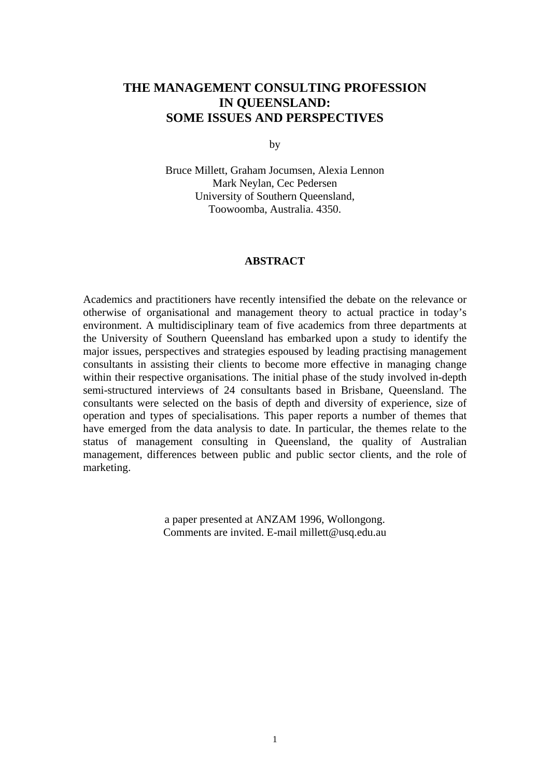## **THE MANAGEMENT CONSULTING PROFESSION IN QUEENSLAND: SOME ISSUES AND PERSPECTIVES**

by

Bruce Millett, Graham Jocumsen, Alexia Lennon Mark Neylan, Cec Pedersen University of Southern Queensland, Toowoomba, Australia. 4350.

#### **ABSTRACT**

Academics and practitioners have recently intensified the debate on the relevance or otherwise of organisational and management theory to actual practice in today's environment. A multidisciplinary team of five academics from three departments at the University of Southern Queensland has embarked upon a study to identify the major issues, perspectives and strategies espoused by leading practising management consultants in assisting their clients to become more effective in managing change within their respective organisations. The initial phase of the study involved in-depth semi-structured interviews of 24 consultants based in Brisbane, Queensland. The consultants were selected on the basis of depth and diversity of experience, size of operation and types of specialisations. This paper reports a number of themes that have emerged from the data analysis to date. In particular, the themes relate to the status of management consulting in Queensland, the quality of Australian management, differences between public and public sector clients, and the role of marketing.

> a paper presented at ANZAM 1996, Wollongong. Comments are invited. E-mail millett@usq.edu.au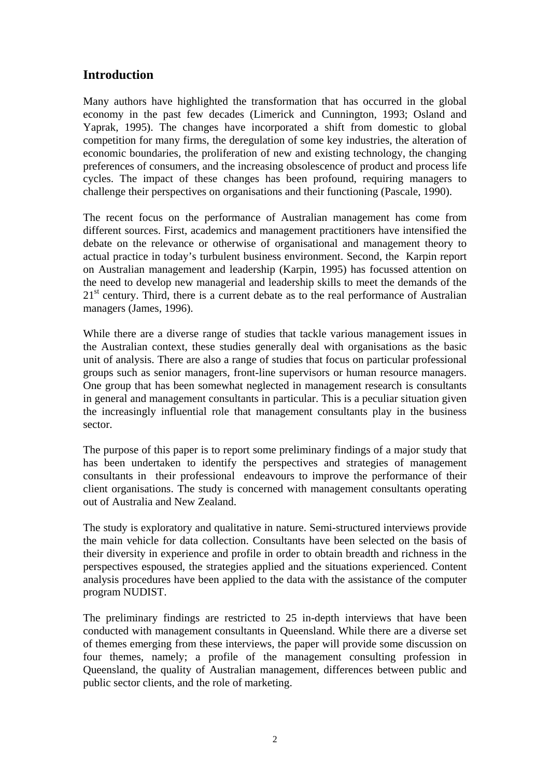## **Introduction**

Many authors have highlighted the transformation that has occurred in the global economy in the past few decades (Limerick and Cunnington, 1993; Osland and Yaprak, 1995). The changes have incorporated a shift from domestic to global competition for many firms, the deregulation of some key industries, the alteration of economic boundaries, the proliferation of new and existing technology, the changing preferences of consumers, and the increasing obsolescence of product and process life cycles. The impact of these changes has been profound, requiring managers to challenge their perspectives on organisations and their functioning (Pascale, 1990).

The recent focus on the performance of Australian management has come from different sources. First, academics and management practitioners have intensified the debate on the relevance or otherwise of organisational and management theory to actual practice in today's turbulent business environment. Second, the Karpin report on Australian management and leadership (Karpin, 1995) has focussed attention on the need to develop new managerial and leadership skills to meet the demands of the  $21<sup>st</sup>$  century. Third, there is a current debate as to the real performance of Australian managers (James, 1996).

While there are a diverse range of studies that tackle various management issues in the Australian context, these studies generally deal with organisations as the basic unit of analysis. There are also a range of studies that focus on particular professional groups such as senior managers, front-line supervisors or human resource managers. One group that has been somewhat neglected in management research is consultants in general and management consultants in particular. This is a peculiar situation given the increasingly influential role that management consultants play in the business sector.

The purpose of this paper is to report some preliminary findings of a major study that has been undertaken to identify the perspectives and strategies of management consultants in their professional endeavours to improve the performance of their client organisations. The study is concerned with management consultants operating out of Australia and New Zealand.

The study is exploratory and qualitative in nature. Semi-structured interviews provide the main vehicle for data collection. Consultants have been selected on the basis of their diversity in experience and profile in order to obtain breadth and richness in the perspectives espoused, the strategies applied and the situations experienced. Content analysis procedures have been applied to the data with the assistance of the computer program NUDIST.

The preliminary findings are restricted to 25 in-depth interviews that have been conducted with management consultants in Queensland. While there are a diverse set of themes emerging from these interviews, the paper will provide some discussion on four themes, namely; a profile of the management consulting profession in Queensland, the quality of Australian management, differences between public and public sector clients, and the role of marketing.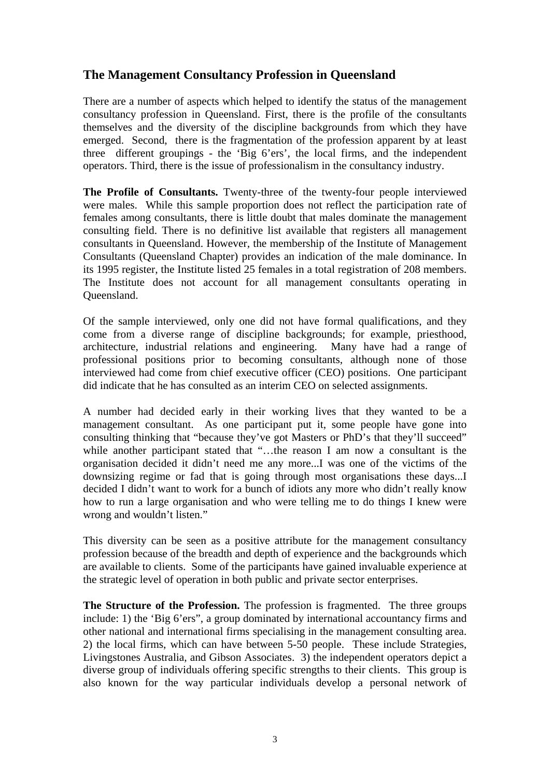# **The Management Consultancy Profession in Queensland**

There are a number of aspects which helped to identify the status of the management consultancy profession in Queensland. First, there is the profile of the consultants themselves and the diversity of the discipline backgrounds from which they have emerged. Second, there is the fragmentation of the profession apparent by at least three different groupings - the 'Big 6'ers', the local firms, and the independent operators. Third, there is the issue of professionalism in the consultancy industry.

**The Profile of Consultants.** Twenty-three of the twenty-four people interviewed were males. While this sample proportion does not reflect the participation rate of females among consultants, there is little doubt that males dominate the management consulting field. There is no definitive list available that registers all management consultants in Queensland. However, the membership of the Institute of Management Consultants (Queensland Chapter) provides an indication of the male dominance. In its 1995 register, the Institute listed 25 females in a total registration of 208 members. The Institute does not account for all management consultants operating in Queensland.

Of the sample interviewed, only one did not have formal qualifications, and they come from a diverse range of discipline backgrounds; for example, priesthood, architecture, industrial relations and engineering. Many have had a range of professional positions prior to becoming consultants, although none of those interviewed had come from chief executive officer (CEO) positions. One participant did indicate that he has consulted as an interim CEO on selected assignments.

A number had decided early in their working lives that they wanted to be a management consultant. As one participant put it, some people have gone into consulting thinking that "because they've got Masters or PhD's that they'll succeed" while another participant stated that "…the reason I am now a consultant is the organisation decided it didn't need me any more...I was one of the victims of the downsizing regime or fad that is going through most organisations these days...I decided I didn't want to work for a bunch of idiots any more who didn't really know how to run a large organisation and who were telling me to do things I knew were wrong and wouldn't listen."

This diversity can be seen as a positive attribute for the management consultancy profession because of the breadth and depth of experience and the backgrounds which are available to clients. Some of the participants have gained invaluable experience at the strategic level of operation in both public and private sector enterprises.

**The Structure of the Profession.** The profession is fragmented. The three groups include: 1) the 'Big 6'ers", a group dominated by international accountancy firms and other national and international firms specialising in the management consulting area. 2) the local firms, which can have between 5-50 people. These include Strategies, Livingstones Australia, and Gibson Associates. 3) the independent operators depict a diverse group of individuals offering specific strengths to their clients. This group is also known for the way particular individuals develop a personal network of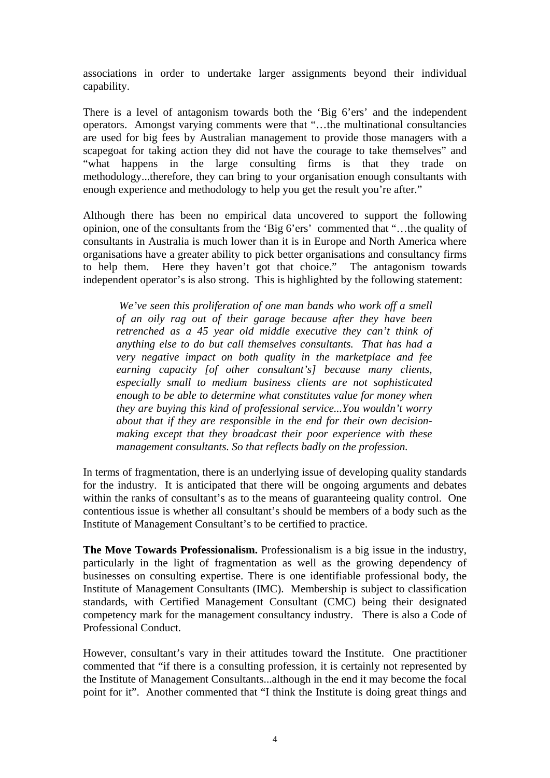associations in order to undertake larger assignments beyond their individual capability.

There is a level of antagonism towards both the 'Big 6'ers' and the independent operators. Amongst varying comments were that "…the multinational consultancies are used for big fees by Australian management to provide those managers with a scapegoat for taking action they did not have the courage to take themselves" and "what happens in the large consulting firms is that they trade on methodology...therefore, they can bring to your organisation enough consultants with enough experience and methodology to help you get the result you're after."

Although there has been no empirical data uncovered to support the following opinion, one of the consultants from the 'Big 6'ers' commented that "…the quality of consultants in Australia is much lower than it is in Europe and North America where organisations have a greater ability to pick better organisations and consultancy firms to help them. Here they haven't got that choice." The antagonism towards independent operator's is also strong. This is highlighted by the following statement:

*We've seen this proliferation of one man bands who work off a smell of an oily rag out of their garage because after they have been retrenched as a 45 year old middle executive they can't think of anything else to do but call themselves consultants. That has had a very negative impact on both quality in the marketplace and fee earning capacity [of other consultant's] because many clients, especially small to medium business clients are not sophisticated enough to be able to determine what constitutes value for money when they are buying this kind of professional service...You wouldn't worry about that if they are responsible in the end for their own decisionmaking except that they broadcast their poor experience with these management consultants. So that reflects badly on the profession.*

In terms of fragmentation, there is an underlying issue of developing quality standards for the industry. It is anticipated that there will be ongoing arguments and debates within the ranks of consultant's as to the means of guaranteeing quality control. One contentious issue is whether all consultant's should be members of a body such as the Institute of Management Consultant's to be certified to practice.

**The Move Towards Professionalism.** Professionalism is a big issue in the industry, particularly in the light of fragmentation as well as the growing dependency of businesses on consulting expertise. There is one identifiable professional body, the Institute of Management Consultants (IMC). Membership is subject to classification standards, with Certified Management Consultant (CMC) being their designated competency mark for the management consultancy industry. There is also a Code of Professional Conduct.

However, consultant's vary in their attitudes toward the Institute. One practitioner commented that "if there is a consulting profession, it is certainly not represented by the Institute of Management Consultants...although in the end it may become the focal point for it". Another commented that "I think the Institute is doing great things and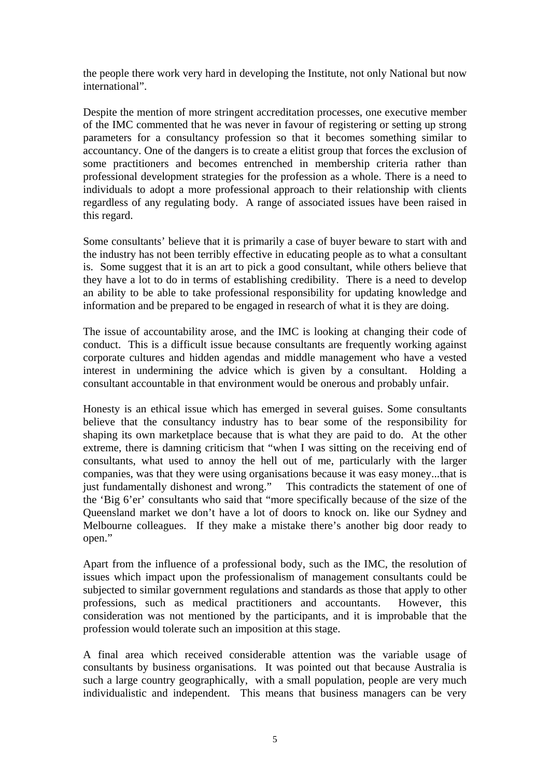the people there work very hard in developing the Institute, not only National but now international".

Despite the mention of more stringent accreditation processes, one executive member of the IMC commented that he was never in favour of registering or setting up strong parameters for a consultancy profession so that it becomes something similar to accountancy. One of the dangers is to create a elitist group that forces the exclusion of some practitioners and becomes entrenched in membership criteria rather than professional development strategies for the profession as a whole. There is a need to individuals to adopt a more professional approach to their relationship with clients regardless of any regulating body. A range of associated issues have been raised in this regard.

Some consultants' believe that it is primarily a case of buyer beware to start with and the industry has not been terribly effective in educating people as to what a consultant is. Some suggest that it is an art to pick a good consultant, while others believe that they have a lot to do in terms of establishing credibility. There is a need to develop an ability to be able to take professional responsibility for updating knowledge and information and be prepared to be engaged in research of what it is they are doing.

The issue of accountability arose, and the IMC is looking at changing their code of conduct. This is a difficult issue because consultants are frequently working against corporate cultures and hidden agendas and middle management who have a vested interest in undermining the advice which is given by a consultant. Holding a consultant accountable in that environment would be onerous and probably unfair.

Honesty is an ethical issue which has emerged in several guises. Some consultants believe that the consultancy industry has to bear some of the responsibility for shaping its own marketplace because that is what they are paid to do. At the other extreme, there is damning criticism that "when I was sitting on the receiving end of consultants, what used to annoy the hell out of me, particularly with the larger companies, was that they were using organisations because it was easy money...that is just fundamentally dishonest and wrong." This contradicts the statement of one of the 'Big 6'er' consultants who said that "more specifically because of the size of the Queensland market we don't have a lot of doors to knock on. like our Sydney and Melbourne colleagues. If they make a mistake there's another big door ready to open."

Apart from the influence of a professional body, such as the IMC, the resolution of issues which impact upon the professionalism of management consultants could be subjected to similar government regulations and standards as those that apply to other professions, such as medical practitioners and accountants. However, this consideration was not mentioned by the participants, and it is improbable that the profession would tolerate such an imposition at this stage.

A final area which received considerable attention was the variable usage of consultants by business organisations. It was pointed out that because Australia is such a large country geographically, with a small population, people are very much individualistic and independent. This means that business managers can be very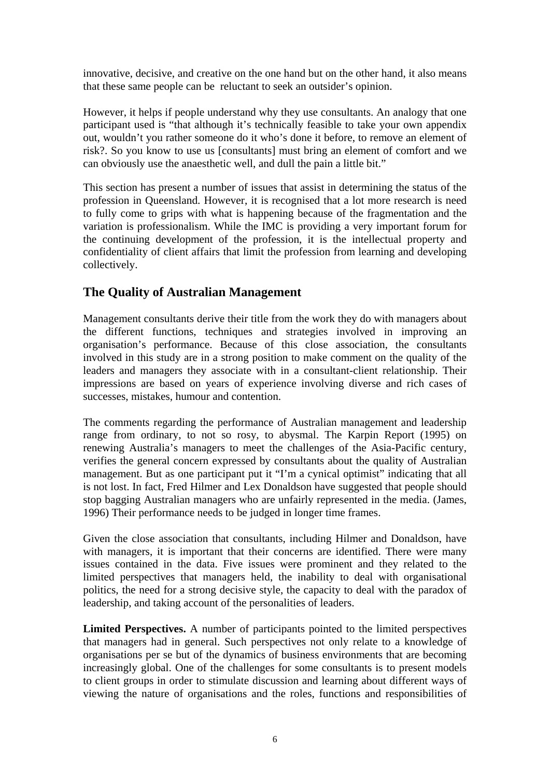innovative, decisive, and creative on the one hand but on the other hand, it also means that these same people can be reluctant to seek an outsider's opinion.

However, it helps if people understand why they use consultants. An analogy that one participant used is "that although it's technically feasible to take your own appendix out, wouldn't you rather someone do it who's done it before, to remove an element of risk?. So you know to use us [consultants] must bring an element of comfort and we can obviously use the anaesthetic well, and dull the pain a little bit."

This section has present a number of issues that assist in determining the status of the profession in Queensland. However, it is recognised that a lot more research is need to fully come to grips with what is happening because of the fragmentation and the variation is professionalism. While the IMC is providing a very important forum for the continuing development of the profession, it is the intellectual property and confidentiality of client affairs that limit the profession from learning and developing collectively.

### **The Quality of Australian Management**

Management consultants derive their title from the work they do with managers about the different functions, techniques and strategies involved in improving an organisation's performance. Because of this close association, the consultants involved in this study are in a strong position to make comment on the quality of the leaders and managers they associate with in a consultant-client relationship. Their impressions are based on years of experience involving diverse and rich cases of successes, mistakes, humour and contention.

The comments regarding the performance of Australian management and leadership range from ordinary, to not so rosy, to abysmal. The Karpin Report (1995) on renewing Australia's managers to meet the challenges of the Asia-Pacific century, verifies the general concern expressed by consultants about the quality of Australian management. But as one participant put it "I'm a cynical optimist" indicating that all is not lost. In fact, Fred Hilmer and Lex Donaldson have suggested that people should stop bagging Australian managers who are unfairly represented in the media. (James, 1996) Their performance needs to be judged in longer time frames.

Given the close association that consultants, including Hilmer and Donaldson, have with managers, it is important that their concerns are identified. There were many issues contained in the data. Five issues were prominent and they related to the limited perspectives that managers held, the inability to deal with organisational politics, the need for a strong decisive style, the capacity to deal with the paradox of leadership, and taking account of the personalities of leaders.

**Limited Perspectives.** A number of participants pointed to the limited perspectives that managers had in general. Such perspectives not only relate to a knowledge of organisations per se but of the dynamics of business environments that are becoming increasingly global. One of the challenges for some consultants is to present models to client groups in order to stimulate discussion and learning about different ways of viewing the nature of organisations and the roles, functions and responsibilities of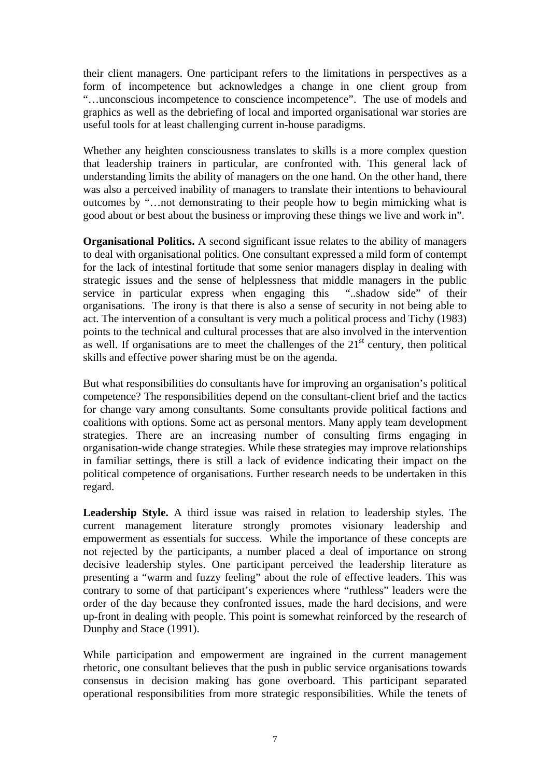their client managers. One participant refers to the limitations in perspectives as a form of incompetence but acknowledges a change in one client group from "…unconscious incompetence to conscience incompetence". The use of models and graphics as well as the debriefing of local and imported organisational war stories are useful tools for at least challenging current in-house paradigms.

Whether any heighten consciousness translates to skills is a more complex question that leadership trainers in particular, are confronted with. This general lack of understanding limits the ability of managers on the one hand. On the other hand, there was also a perceived inability of managers to translate their intentions to behavioural outcomes by "…not demonstrating to their people how to begin mimicking what is good about or best about the business or improving these things we live and work in".

**Organisational Politics.** A second significant issue relates to the ability of managers to deal with organisational politics. One consultant expressed a mild form of contempt for the lack of intestinal fortitude that some senior managers display in dealing with strategic issues and the sense of helplessness that middle managers in the public service in particular express when engaging this "..shadow side" of their organisations. The irony is that there is also a sense of security in not being able to act. The intervention of a consultant is very much a political process and Tichy (1983) points to the technical and cultural processes that are also involved in the intervention as well. If organisations are to meet the challenges of the  $21<sup>st</sup>$  century, then political skills and effective power sharing must be on the agenda.

But what responsibilities do consultants have for improving an organisation's political competence? The responsibilities depend on the consultant-client brief and the tactics for change vary among consultants. Some consultants provide political factions and coalitions with options. Some act as personal mentors. Many apply team development strategies. There are an increasing number of consulting firms engaging in organisation-wide change strategies. While these strategies may improve relationships in familiar settings, there is still a lack of evidence indicating their impact on the political competence of organisations. Further research needs to be undertaken in this regard.

**Leadership Style.** A third issue was raised in relation to leadership styles. The current management literature strongly promotes visionary leadership and empowerment as essentials for success. While the importance of these concepts are not rejected by the participants, a number placed a deal of importance on strong decisive leadership styles. One participant perceived the leadership literature as presenting a "warm and fuzzy feeling" about the role of effective leaders. This was contrary to some of that participant's experiences where "ruthless" leaders were the order of the day because they confronted issues, made the hard decisions, and were up-front in dealing with people. This point is somewhat reinforced by the research of Dunphy and Stace (1991).

While participation and empowerment are ingrained in the current management rhetoric, one consultant believes that the push in public service organisations towards consensus in decision making has gone overboard. This participant separated operational responsibilities from more strategic responsibilities. While the tenets of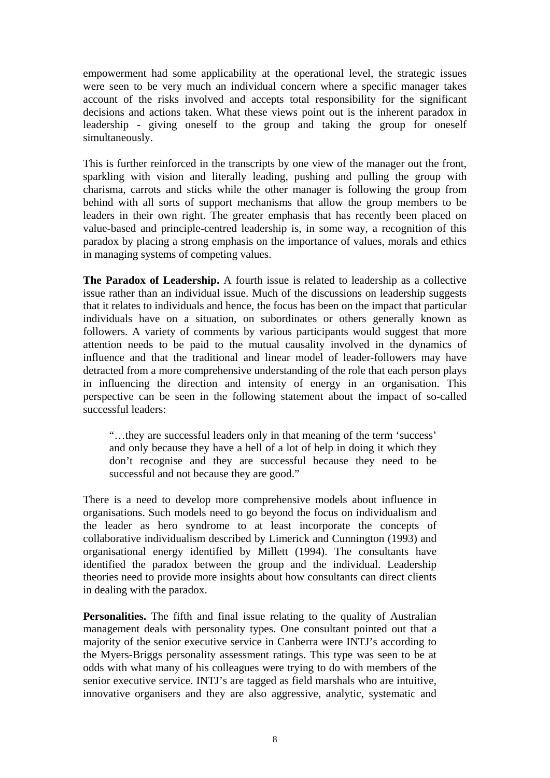empowerment had some applicability at the operational level, the strategic issues were seen to be very much an individual concern where a specific manager takes account of the risks involved and accepts total responsibility for the significant decisions and actions taken. What these views point out is the inherent paradox in leadership - giving oneself to the group and taking the group for oneself simultaneously.

This is further reinforced in the transcripts by one view of the manager out the front, sparkling with vision and literally leading, pushing and pulling the group with charisma, carrots and sticks while the other manager is following the group from behind with all sorts of support mechanisms that allow the group members to be leaders in their own right. The greater emphasis that has recently been placed on value-based and principle-centred leadership is, in some way, a recognition of this paradox by placing a strong emphasis on the importance of values, morals and ethics in managing systems of competing values.

**The Paradox of Leadership.** A fourth issue is related to leadership as a collective issue rather than an individual issue. Much of the discussions on leadership suggests that it relates to individuals and hence, the focus has been on the impact that particular individuals have on a situation, on subordinates or others generally known as followers. A variety of comments by various participants would suggest that more attention needs to be paid to the mutual causality involved in the dynamics of influence and that the traditional and linear model of leader-followers may have detracted from a more comprehensive understanding of the role that each person plays in influencing the direction and intensity of energy in an organisation. This perspective can be seen in the following statement about the impact of so-called successful leaders:

"…they are successful leaders only in that meaning of the term 'success' and only because they have a hell of a lot of help in doing it which they don't recognise and they are successful because they need to be successful and not because they are good."

There is a need to develop more comprehensive models about influence in organisations. Such models need to go beyond the focus on individualism and the leader as hero syndrome to at least incorporate the concepts of collaborative individualism described by Limerick and Cunnington (1993) and organisational energy identified by Millett (1994). The consultants have identified the paradox between the group and the individual. Leadership theories need to provide more insights about how consultants can direct clients in dealing with the paradox.

**Personalities.** The fifth and final issue relating to the quality of Australian management deals with personality types. One consultant pointed out that a majority of the senior executive service in Canberra were INTJ's according to the Myers-Briggs personality assessment ratings. This type was seen to be at odds with what many of his colleagues were trying to do with members of the senior executive service. INTJ's are tagged as field marshals who are intuitive, innovative organisers and they are also aggressive, analytic, systematic and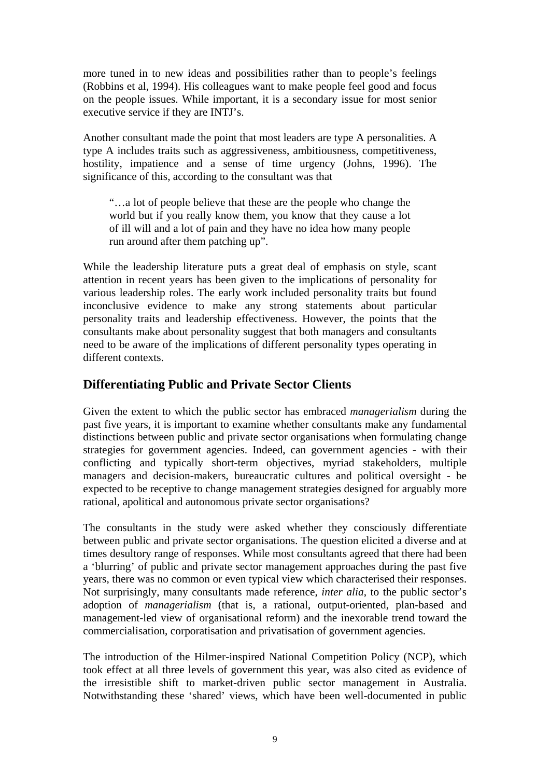more tuned in to new ideas and possibilities rather than to people's feelings (Robbins et al, 1994). His colleagues want to make people feel good and focus on the people issues. While important, it is a secondary issue for most senior executive service if they are INTJ's.

Another consultant made the point that most leaders are type A personalities. A type A includes traits such as aggressiveness, ambitiousness, competitiveness, hostility, impatience and a sense of time urgency (Johns, 1996). The significance of this, according to the consultant was that

"…a lot of people believe that these are the people who change the world but if you really know them, you know that they cause a lot of ill will and a lot of pain and they have no idea how many people run around after them patching up".

While the leadership literature puts a great deal of emphasis on style, scant attention in recent years has been given to the implications of personality for various leadership roles. The early work included personality traits but found inconclusive evidence to make any strong statements about particular personality traits and leadership effectiveness. However, the points that the consultants make about personality suggest that both managers and consultants need to be aware of the implications of different personality types operating in different contexts.

### **Differentiating Public and Private Sector Clients**

Given the extent to which the public sector has embraced *managerialism* during the past five years, it is important to examine whether consultants make any fundamental distinctions between public and private sector organisations when formulating change strategies for government agencies. Indeed, can government agencies - with their conflicting and typically short-term objectives, myriad stakeholders, multiple managers and decision-makers, bureaucratic cultures and political oversight - be expected to be receptive to change management strategies designed for arguably more rational, apolitical and autonomous private sector organisations?

The consultants in the study were asked whether they consciously differentiate between public and private sector organisations. The question elicited a diverse and at times desultory range of responses. While most consultants agreed that there had been a 'blurring' of public and private sector management approaches during the past five years, there was no common or even typical view which characterised their responses. Not surprisingly, many consultants made reference, *inter alia*, to the public sector's adoption of *managerialism* (that is, a rational, output-oriented, plan-based and management-led view of organisational reform) and the inexorable trend toward the commercialisation, corporatisation and privatisation of government agencies.

The introduction of the Hilmer-inspired National Competition Policy (NCP), which took effect at all three levels of government this year, was also cited as evidence of the irresistible shift to market-driven public sector management in Australia. Notwithstanding these 'shared' views, which have been well-documented in public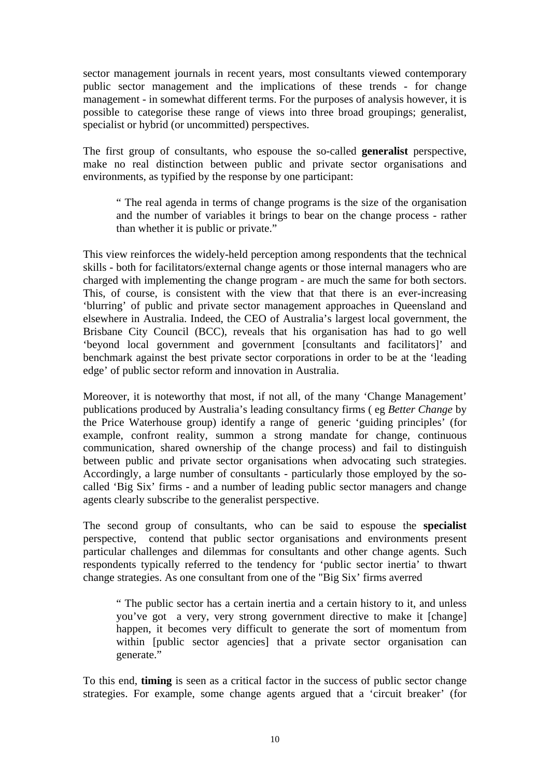sector management journals in recent years, most consultants viewed contemporary public sector management and the implications of these trends - for change management - in somewhat different terms. For the purposes of analysis however, it is possible to categorise these range of views into three broad groupings; generalist, specialist or hybrid (or uncommitted) perspectives.

The first group of consultants, who espouse the so-called **generalist** perspective, make no real distinction between public and private sector organisations and environments, as typified by the response by one participant:

" The real agenda in terms of change programs is the size of the organisation and the number of variables it brings to bear on the change process - rather than whether it is public or private."

This view reinforces the widely-held perception among respondents that the technical skills - both for facilitators/external change agents or those internal managers who are charged with implementing the change program - are much the same for both sectors. This, of course, is consistent with the view that that there is an ever-increasing 'blurring' of public and private sector management approaches in Queensland and elsewhere in Australia. Indeed, the CEO of Australia's largest local government, the Brisbane City Council (BCC), reveals that his organisation has had to go well 'beyond local government and government [consultants and facilitators]' and benchmark against the best private sector corporations in order to be at the 'leading edge' of public sector reform and innovation in Australia.

Moreover, it is noteworthy that most, if not all, of the many 'Change Management' publications produced by Australia's leading consultancy firms ( eg *Better Change* by the Price Waterhouse group) identify a range of generic 'guiding principles' (for example, confront reality, summon a strong mandate for change, continuous communication, shared ownership of the change process) and fail to distinguish between public and private sector organisations when advocating such strategies. Accordingly, a large number of consultants - particularly those employed by the socalled 'Big Six' firms - and a number of leading public sector managers and change agents clearly subscribe to the generalist perspective.

The second group of consultants, who can be said to espouse the **specialist** perspective, contend that public sector organisations and environments present particular challenges and dilemmas for consultants and other change agents. Such respondents typically referred to the tendency for 'public sector inertia' to thwart change strategies. As one consultant from one of the "Big Six' firms averred

" The public sector has a certain inertia and a certain history to it, and unless you've got a very, very strong government directive to make it [change] happen, it becomes very difficult to generate the sort of momentum from within [public sector agencies] that a private sector organisation can generate."

To this end, **timing** is seen as a critical factor in the success of public sector change strategies. For example, some change agents argued that a 'circuit breaker' (for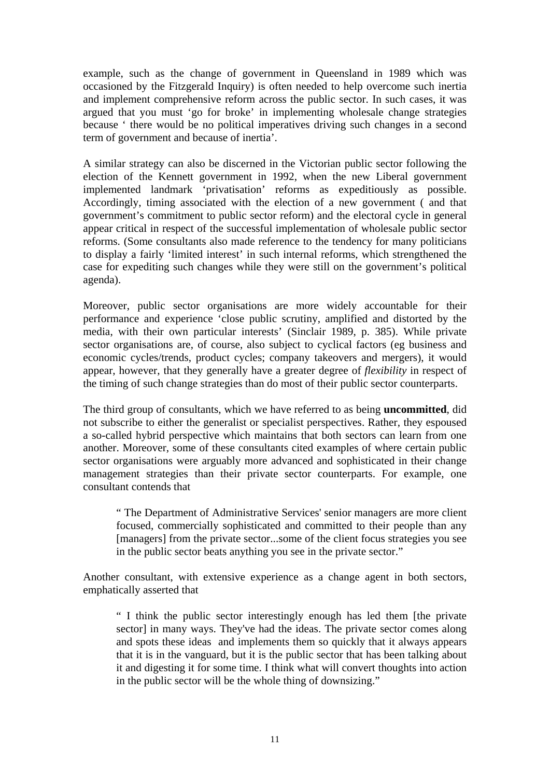example, such as the change of government in Queensland in 1989 which was occasioned by the Fitzgerald Inquiry) is often needed to help overcome such inertia and implement comprehensive reform across the public sector. In such cases, it was argued that you must 'go for broke' in implementing wholesale change strategies because ' there would be no political imperatives driving such changes in a second term of government and because of inertia'.

A similar strategy can also be discerned in the Victorian public sector following the election of the Kennett government in 1992, when the new Liberal government implemented landmark 'privatisation' reforms as expeditiously as possible. Accordingly, timing associated with the election of a new government ( and that government's commitment to public sector reform) and the electoral cycle in general appear critical in respect of the successful implementation of wholesale public sector reforms. (Some consultants also made reference to the tendency for many politicians to display a fairly 'limited interest' in such internal reforms, which strengthened the case for expediting such changes while they were still on the government's political agenda).

Moreover, public sector organisations are more widely accountable for their performance and experience 'close public scrutiny, amplified and distorted by the media, with their own particular interests' (Sinclair 1989, p. 385). While private sector organisations are, of course, also subject to cyclical factors (eg business and economic cycles/trends, product cycles; company takeovers and mergers), it would appear, however, that they generally have a greater degree of *flexibility* in respect of the timing of such change strategies than do most of their public sector counterparts.

The third group of consultants, which we have referred to as being **uncommitted**, did not subscribe to either the generalist or specialist perspectives. Rather, they espoused a so-called hybrid perspective which maintains that both sectors can learn from one another. Moreover, some of these consultants cited examples of where certain public sector organisations were arguably more advanced and sophisticated in their change management strategies than their private sector counterparts. For example, one consultant contends that

" The Department of Administrative Services' senior managers are more client focused, commercially sophisticated and committed to their people than any [managers] from the private sector...some of the client focus strategies you see in the public sector beats anything you see in the private sector."

Another consultant, with extensive experience as a change agent in both sectors, emphatically asserted that

" I think the public sector interestingly enough has led them [the private sector] in many ways. They've had the ideas. The private sector comes along and spots these ideas and implements them so quickly that it always appears that it is in the vanguard, but it is the public sector that has been talking about it and digesting it for some time. I think what will convert thoughts into action in the public sector will be the whole thing of downsizing."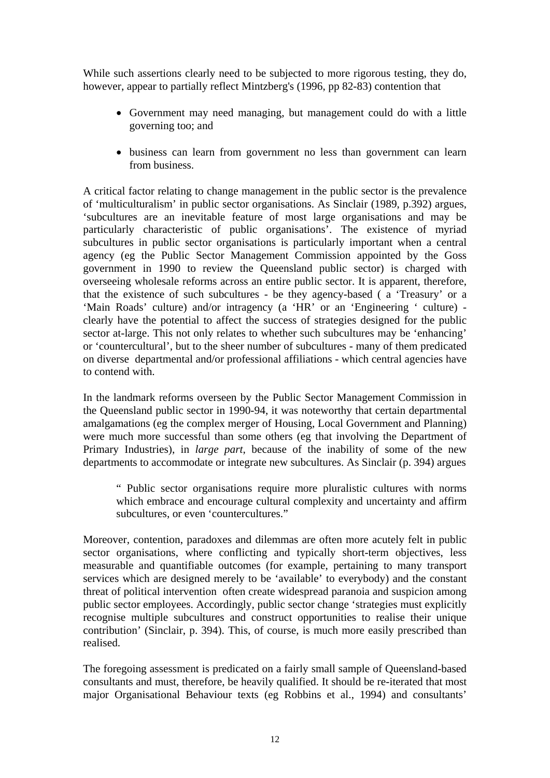While such assertions clearly need to be subjected to more rigorous testing, they do, however, appear to partially reflect Mintzberg's (1996, pp 82-83) contention that

- Government may need managing, but management could do with a little governing too; and
- business can learn from government no less than government can learn from business.

A critical factor relating to change management in the public sector is the prevalence of 'multiculturalism' in public sector organisations. As Sinclair (1989, p.392) argues, 'subcultures are an inevitable feature of most large organisations and may be particularly characteristic of public organisations'. The existence of myriad subcultures in public sector organisations is particularly important when a central agency (eg the Public Sector Management Commission appointed by the Goss government in 1990 to review the Queensland public sector) is charged with overseeing wholesale reforms across an entire public sector. It is apparent, therefore, that the existence of such subcultures - be they agency-based ( a 'Treasury' or a 'Main Roads' culture) and/or intragency (a 'HR' or an 'Engineering ' culture) clearly have the potential to affect the success of strategies designed for the public sector at-large. This not only relates to whether such subcultures may be 'enhancing' or 'countercultural', but to the sheer number of subcultures - many of them predicated on diverse departmental and/or professional affiliations - which central agencies have to contend with.

In the landmark reforms overseen by the Public Sector Management Commission in the Queensland public sector in 1990-94, it was noteworthy that certain departmental amalgamations (eg the complex merger of Housing, Local Government and Planning) were much more successful than some others (eg that involving the Department of Primary Industries), in *large part*, because of the inability of some of the new departments to accommodate or integrate new subcultures. As Sinclair (p. 394) argues

" Public sector organisations require more pluralistic cultures with norms which embrace and encourage cultural complexity and uncertainty and affirm subcultures, or even 'countercultures."

Moreover, contention, paradoxes and dilemmas are often more acutely felt in public sector organisations, where conflicting and typically short-term objectives, less measurable and quantifiable outcomes (for example, pertaining to many transport services which are designed merely to be 'available' to everybody) and the constant threat of political intervention often create widespread paranoia and suspicion among public sector employees. Accordingly, public sector change 'strategies must explicitly recognise multiple subcultures and construct opportunities to realise their unique contribution' (Sinclair, p. 394). This, of course, is much more easily prescribed than realised.

The foregoing assessment is predicated on a fairly small sample of Queensland-based consultants and must, therefore, be heavily qualified. It should be re-iterated that most major Organisational Behaviour texts (eg Robbins et al., 1994) and consultants'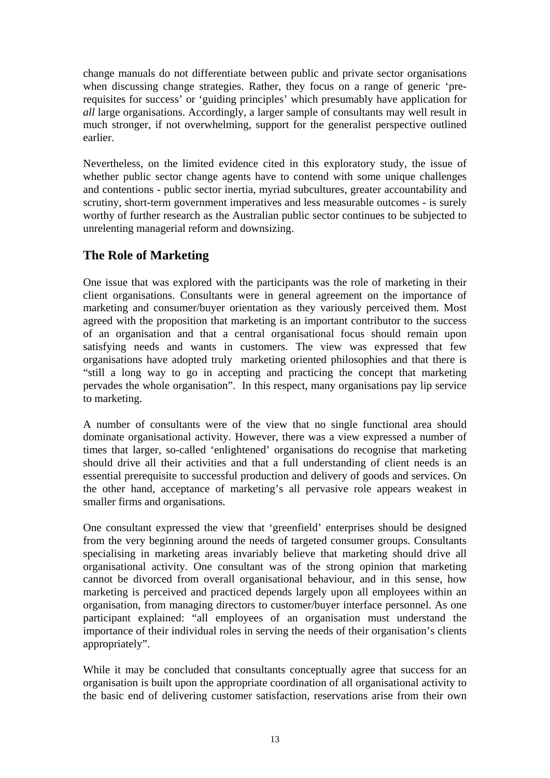change manuals do not differentiate between public and private sector organisations when discussing change strategies. Rather, they focus on a range of generic 'prerequisites for success' or 'guiding principles' which presumably have application for *all* large organisations. Accordingly, a larger sample of consultants may well result in much stronger, if not overwhelming, support for the generalist perspective outlined earlier.

Nevertheless, on the limited evidence cited in this exploratory study, the issue of whether public sector change agents have to contend with some unique challenges and contentions - public sector inertia, myriad subcultures, greater accountability and scrutiny, short-term government imperatives and less measurable outcomes - is surely worthy of further research as the Australian public sector continues to be subjected to unrelenting managerial reform and downsizing.

# **The Role of Marketing**

One issue that was explored with the participants was the role of marketing in their client organisations. Consultants were in general agreement on the importance of marketing and consumer/buyer orientation as they variously perceived them. Most agreed with the proposition that marketing is an important contributor to the success of an organisation and that a central organisational focus should remain upon satisfying needs and wants in customers. The view was expressed that few organisations have adopted truly marketing oriented philosophies and that there is "still a long way to go in accepting and practicing the concept that marketing pervades the whole organisation". In this respect, many organisations pay lip service to marketing.

A number of consultants were of the view that no single functional area should dominate organisational activity. However, there was a view expressed a number of times that larger, so-called 'enlightened' organisations do recognise that marketing should drive all their activities and that a full understanding of client needs is an essential prerequisite to successful production and delivery of goods and services. On the other hand, acceptance of marketing's all pervasive role appears weakest in smaller firms and organisations.

One consultant expressed the view that 'greenfield' enterprises should be designed from the very beginning around the needs of targeted consumer groups. Consultants specialising in marketing areas invariably believe that marketing should drive all organisational activity. One consultant was of the strong opinion that marketing cannot be divorced from overall organisational behaviour, and in this sense, how marketing is perceived and practiced depends largely upon all employees within an organisation, from managing directors to customer/buyer interface personnel. As one participant explained: "all employees of an organisation must understand the importance of their individual roles in serving the needs of their organisation's clients appropriately".

While it may be concluded that consultants conceptually agree that success for an organisation is built upon the appropriate coordination of all organisational activity to the basic end of delivering customer satisfaction, reservations arise from their own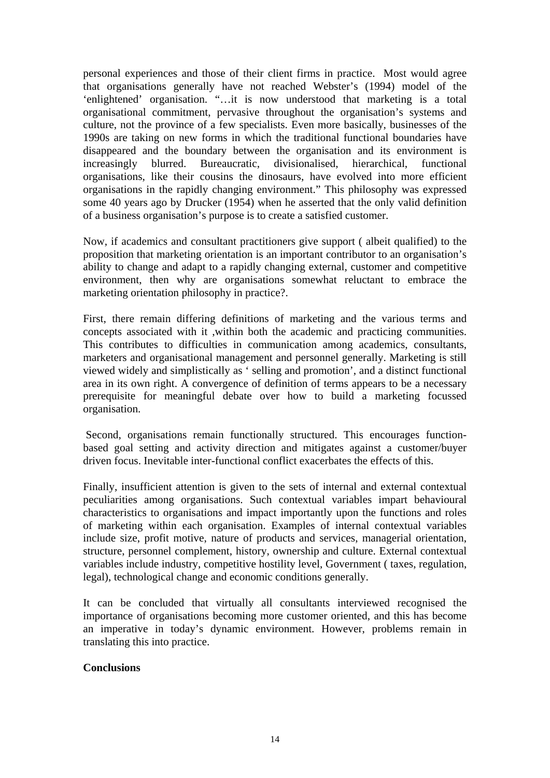personal experiences and those of their client firms in practice. Most would agree that organisations generally have not reached Webster's (1994) model of the 'enlightened' organisation. "…it is now understood that marketing is a total organisational commitment, pervasive throughout the organisation's systems and culture, not the province of a few specialists. Even more basically, businesses of the 1990s are taking on new forms in which the traditional functional boundaries have disappeared and the boundary between the organisation and its environment is increasingly blurred. Bureaucratic, divisionalised, hierarchical, functional organisations, like their cousins the dinosaurs, have evolved into more efficient organisations in the rapidly changing environment." This philosophy was expressed some 40 years ago by Drucker (1954) when he asserted that the only valid definition of a business organisation's purpose is to create a satisfied customer.

Now, if academics and consultant practitioners give support ( albeit qualified) to the proposition that marketing orientation is an important contributor to an organisation's ability to change and adapt to a rapidly changing external, customer and competitive environment, then why are organisations somewhat reluctant to embrace the marketing orientation philosophy in practice?.

First, there remain differing definitions of marketing and the various terms and concepts associated with it ,within both the academic and practicing communities. This contributes to difficulties in communication among academics, consultants, marketers and organisational management and personnel generally. Marketing is still viewed widely and simplistically as ' selling and promotion', and a distinct functional area in its own right. A convergence of definition of terms appears to be a necessary prerequisite for meaningful debate over how to build a marketing focussed organisation.

 Second, organisations remain functionally structured. This encourages functionbased goal setting and activity direction and mitigates against a customer/buyer driven focus. Inevitable inter-functional conflict exacerbates the effects of this.

Finally, insufficient attention is given to the sets of internal and external contextual peculiarities among organisations. Such contextual variables impart behavioural characteristics to organisations and impact importantly upon the functions and roles of marketing within each organisation. Examples of internal contextual variables include size, profit motive, nature of products and services, managerial orientation, structure, personnel complement, history, ownership and culture. External contextual variables include industry, competitive hostility level, Government ( taxes, regulation, legal), technological change and economic conditions generally.

It can be concluded that virtually all consultants interviewed recognised the importance of organisations becoming more customer oriented, and this has become an imperative in today's dynamic environment. However, problems remain in translating this into practice.

#### **Conclusions**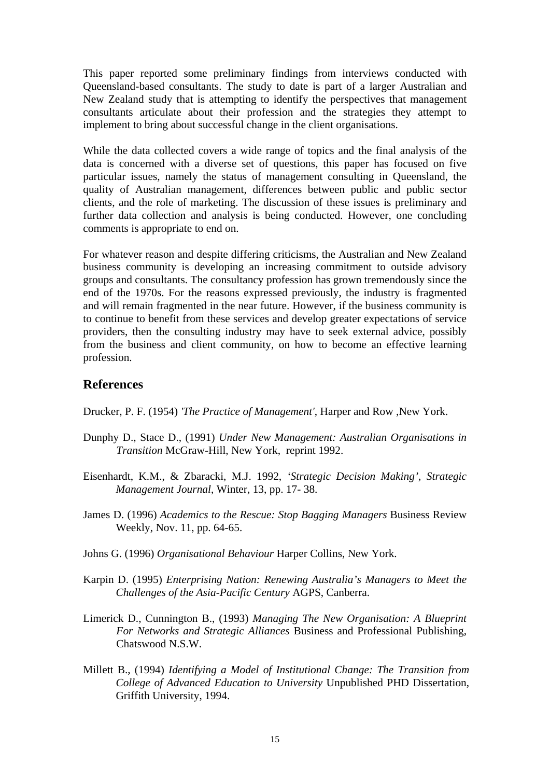This paper reported some preliminary findings from interviews conducted with Queensland-based consultants. The study to date is part of a larger Australian and New Zealand study that is attempting to identify the perspectives that management consultants articulate about their profession and the strategies they attempt to implement to bring about successful change in the client organisations.

While the data collected covers a wide range of topics and the final analysis of the data is concerned with a diverse set of questions, this paper has focused on five particular issues, namely the status of management consulting in Queensland, the quality of Australian management, differences between public and public sector clients, and the role of marketing. The discussion of these issues is preliminary and further data collection and analysis is being conducted. However, one concluding comments is appropriate to end on.

For whatever reason and despite differing criticisms, the Australian and New Zealand business community is developing an increasing commitment to outside advisory groups and consultants. The consultancy profession has grown tremendously since the end of the 1970s. For the reasons expressed previously, the industry is fragmented and will remain fragmented in the near future. However, if the business community is to continue to benefit from these services and develop greater expectations of service providers, then the consulting industry may have to seek external advice, possibly from the business and client community, on how to become an effective learning profession.

#### **References**

Drucker, P. F. (1954) *'The Practice of Management'*, Harper and Row ,New York.

- Dunphy D., Stace D., (1991) *Under New Management: Australian Organisations in Transition* McGraw-Hill, New York, reprint 1992.
- Eisenhardt, K.M., & Zbaracki, M.J. 1992, *'Strategic Decision Making', Strategic Management Journal*, Winter, 13, pp. 17- 38.
- James D. (1996) *Academics to the Rescue: Stop Bagging Managers* Business Review Weekly, Nov. 11, pp. 64-65.
- Johns G. (1996) *Organisational Behaviour* Harper Collins, New York.
- Karpin D. (1995) *Enterprising Nation: Renewing Australia's Managers to Meet the Challenges of the Asia-Pacific Century* AGPS, Canberra.
- Limerick D., Cunnington B., (1993) *Managing The New Organisation: A Blueprint For Networks and Strategic Alliances* Business and Professional Publishing, Chatswood N.S.W.
- Millett B., (1994) *Identifying a Model of Institutional Change: The Transition from College of Advanced Education to University* Unpublished PHD Dissertation, Griffith University, 1994.